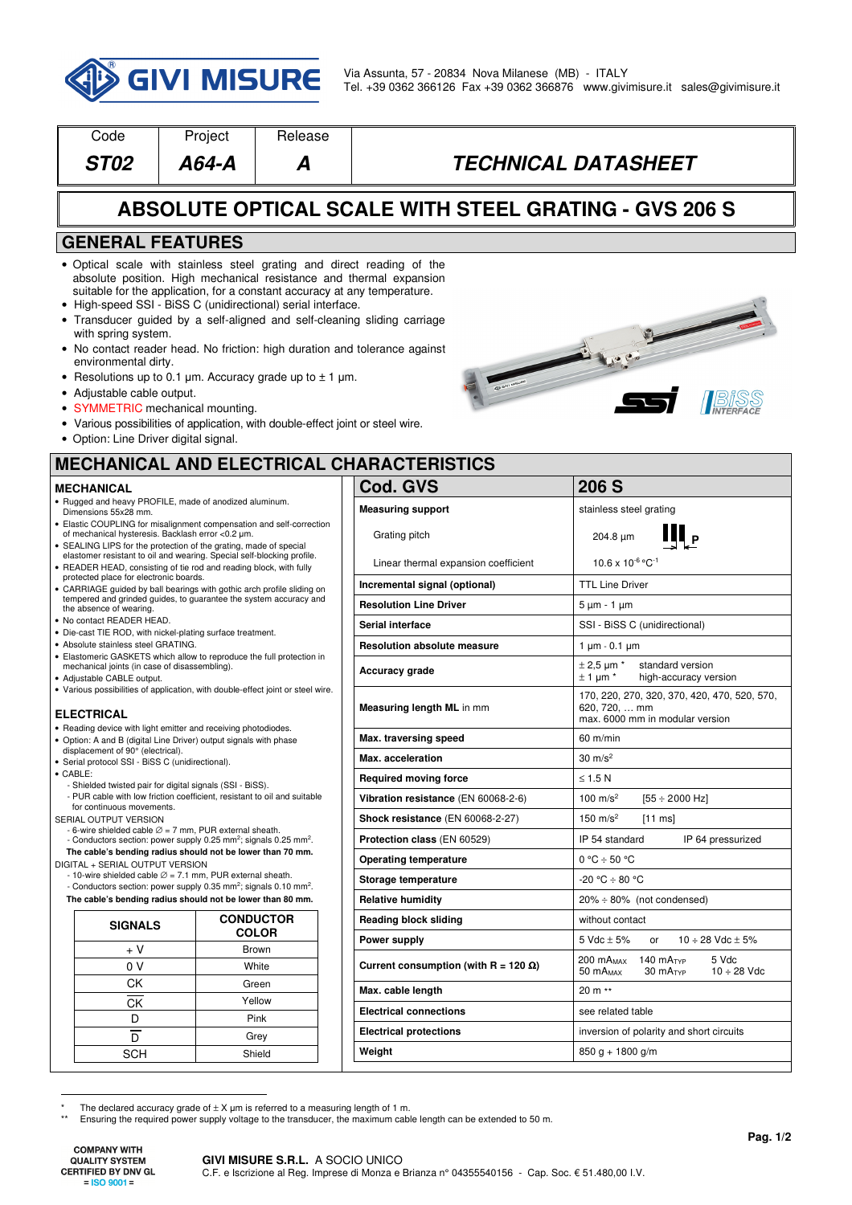

| Code                                                                                                                                                                                       | Project                                                                                                                                                                                                                                                                                                                                                                                                                                                                                                                                                                                                                                               | Release          |                                              |                                                                                                  |  |  |
|--------------------------------------------------------------------------------------------------------------------------------------------------------------------------------------------|-------------------------------------------------------------------------------------------------------------------------------------------------------------------------------------------------------------------------------------------------------------------------------------------------------------------------------------------------------------------------------------------------------------------------------------------------------------------------------------------------------------------------------------------------------------------------------------------------------------------------------------------------------|------------------|----------------------------------------------|--------------------------------------------------------------------------------------------------|--|--|
| <b>ST02</b>                                                                                                                                                                                | $A64 - A$                                                                                                                                                                                                                                                                                                                                                                                                                                                                                                                                                                                                                                             | Α                |                                              | <b>TECHNICAL DATASHEET</b>                                                                       |  |  |
| <b>ABSOLUTE OPTICAL SCALE WITH STEEL GRATING - GVS 206 S</b>                                                                                                                               |                                                                                                                                                                                                                                                                                                                                                                                                                                                                                                                                                                                                                                                       |                  |                                              |                                                                                                  |  |  |
|                                                                                                                                                                                            | <b>GENERAL FEATURES</b>                                                                                                                                                                                                                                                                                                                                                                                                                                                                                                                                                                                                                               |                  |                                              |                                                                                                  |  |  |
| with spring system.<br>environmental dirty.<br>• Adjustable cable output.<br>• Option: Line Driver digital signal.                                                                         | . Optical scale with stainless steel grating and direct reading of the<br>absolute position. High mechanical resistance and thermal expansion<br>suitable for the application, for a constant accuracy at any temperature.<br>• High-speed SSI - BiSS C (unidirectional) serial interface.<br>• Transducer guided by a self-aligned and self-cleaning sliding carriage<br>• No contact reader head. No friction: high duration and tolerance against<br>• Resolutions up to 0.1 $\mu$ m. Accuracy grade up to $\pm$ 1 $\mu$ m.<br>• SYMMETRIC mechanical mounting.<br>• Various possibilities of application, with double-effect joint or steel wire. |                  |                                              | Live Co                                                                                          |  |  |
| <b>MECHANICAL AND ELECTRICAL CHARACTERISTICS</b>                                                                                                                                           |                                                                                                                                                                                                                                                                                                                                                                                                                                                                                                                                                                                                                                                       |                  |                                              |                                                                                                  |  |  |
| <b>MECHANICAL</b>                                                                                                                                                                          |                                                                                                                                                                                                                                                                                                                                                                                                                                                                                                                                                                                                                                                       |                  | Cod. GVS                                     | 206 S                                                                                            |  |  |
| Dimensions 55x28 mm.                                                                                                                                                                       | · Rugged and heavy PROFILE, made of anodized aluminum.                                                                                                                                                                                                                                                                                                                                                                                                                                                                                                                                                                                                |                  | <b>Measuring support</b>                     | stainless steel grating                                                                          |  |  |
| Elastic COUPLING for misalignment compensation and self-correction<br>of mechanical hysteresis. Backlash error <0.2 µm.<br>SEALING LIPS for the protection of the grating, made of special |                                                                                                                                                                                                                                                                                                                                                                                                                                                                                                                                                                                                                                                       |                  | Grating pitch                                | $\mathbf{III}_{\mathrm{P}}$<br>204.8 µm                                                          |  |  |
| elastomer resistant to oil and wearing. Special self-blocking profile.<br>READER HEAD, consisting of tie rod and reading block, with fully                                                 |                                                                                                                                                                                                                                                                                                                                                                                                                                                                                                                                                                                                                                                       |                  | Linear thermal expansion coefficient         | $10.6 \times 10^{-6}$ °C <sup>-1</sup>                                                           |  |  |
| protected place for electronic boards.<br>CARRIAGE guided by ball bearings with gothic arch profile sliding on                                                                             |                                                                                                                                                                                                                                                                                                                                                                                                                                                                                                                                                                                                                                                       |                  | Incremental signal (optional)                | <b>TTL Line Driver</b>                                                                           |  |  |
| tempered and grinded guides, to guarantee the system accuracy and<br>the absence of wearing.                                                                                               |                                                                                                                                                                                                                                                                                                                                                                                                                                                                                                                                                                                                                                                       |                  | <b>Resolution Line Driver</b>                | 5 μm - 1 μm                                                                                      |  |  |
| No contact READER HEAD.                                                                                                                                                                    |                                                                                                                                                                                                                                                                                                                                                                                                                                                                                                                                                                                                                                                       |                  | Serial interface                             | SSI - BiSS C (unidirectional)                                                                    |  |  |
| • Die-cast TIE ROD, with nickel-plating surface treatment.<br>• Absolute stainless steel GRATING.                                                                                          |                                                                                                                                                                                                                                                                                                                                                                                                                                                                                                                                                                                                                                                       |                  | <b>Resolution absolute measure</b>           | $1 \mu m - 0.1 \mu m$                                                                            |  |  |
| mechanical joints (in case of disassembling).<br>Adjustable CABLE output.                                                                                                                  | Elastomeric GASKETS which allow to reproduce the full protection in                                                                                                                                                                                                                                                                                                                                                                                                                                                                                                                                                                                   |                  | Accuracy grade                               | $\pm$ 2,5 µm $*$<br>standard version<br>$\pm$ 1 µm $*$<br>high-accuracy version                  |  |  |
| ELECTRICAL                                                                                                                                                                                 | • Various possibilities of application, with double-effect joint or steel wire.                                                                                                                                                                                                                                                                                                                                                                                                                                                                                                                                                                       |                  | Measuring length ML in mm                    | 170, 220, 270, 320, 370, 420, 470, 520, 570,<br>620, 720,  mm<br>max. 6000 mm in modular version |  |  |
|                                                                                                                                                                                            | • Reading device with light emitter and receiving photodiodes.<br>• Option: A and B (digital Line Driver) output signals with phase                                                                                                                                                                                                                                                                                                                                                                                                                                                                                                                   |                  | Max. traversing speed                        | $60 \text{ m/min}$                                                                               |  |  |
| displacement of 90° (electrical).<br>· Serial protocol SSI - BiSS C (unidirectional).                                                                                                      |                                                                                                                                                                                                                                                                                                                                                                                                                                                                                                                                                                                                                                                       |                  | Max. acceleration                            | $30 \; \text{m/s}^2$                                                                             |  |  |
| $\bullet$ CABLE:                                                                                                                                                                           | - Shielded twisted pair for digital signals (SSI - BiSS).                                                                                                                                                                                                                                                                                                                                                                                                                                                                                                                                                                                             |                  | <b>Required moving force</b>                 | $\leq$ 1.5 N                                                                                     |  |  |
| - PUR cable with low friction coefficient, resistant to oil and suitable<br>for continuous movements.                                                                                      |                                                                                                                                                                                                                                                                                                                                                                                                                                                                                                                                                                                                                                                       |                  | Vibration resistance (EN 60068-2-6)          | 100 $m/s^2$<br>$[55 \div 2000$ Hz]                                                               |  |  |
| SERIAL OUTPUT VERSION                                                                                                                                                                      |                                                                                                                                                                                                                                                                                                                                                                                                                                                                                                                                                                                                                                                       |                  | Shock resistance (EN 60068-2-27)             | 150 m/s <sup>2</sup><br>$[11 \text{ ms}]$                                                        |  |  |
|                                                                                                                                                                                            | - 6-wire shielded cable $\varnothing$ = 7 mm, PUR external sheath.<br>- Conductors section: power supply 0.25 mm <sup>2</sup> ; signals 0.25 mm <sup>2</sup> .                                                                                                                                                                                                                                                                                                                                                                                                                                                                                        |                  | Protection class (EN 60529)                  | IP 54 standard<br>IP 64 pressurized                                                              |  |  |
|                                                                                                                                                                                            | The cable's bending radius should not be lower than 70 mm.                                                                                                                                                                                                                                                                                                                                                                                                                                                                                                                                                                                            |                  | <b>Operating temperature</b>                 | $0 °C \div 50 °C$                                                                                |  |  |
| DIGITAL + SERIAL OUTPUT VERSION<br>- 10-wire shielded cable $\varnothing$ = 7.1 mm, PUR external sheath.                                                                                   |                                                                                                                                                                                                                                                                                                                                                                                                                                                                                                                                                                                                                                                       |                  | Storage temperature                          | -20 °C ÷ 80 °C                                                                                   |  |  |
| - Conductors section: power supply 0.35 mm <sup>2</sup> ; signals 0.10 mm <sup>2</sup> .<br>The cable's bending radius should not be lower than 80 mm.                                     |                                                                                                                                                                                                                                                                                                                                                                                                                                                                                                                                                                                                                                                       |                  | <b>Relative humidity</b>                     | $20\% \div 80\%$ (not condensed)                                                                 |  |  |
|                                                                                                                                                                                            |                                                                                                                                                                                                                                                                                                                                                                                                                                                                                                                                                                                                                                                       | <b>CONDUCTOR</b> | <b>Reading block sliding</b>                 | without contact                                                                                  |  |  |
| <b>SIGNALS</b>                                                                                                                                                                             |                                                                                                                                                                                                                                                                                                                                                                                                                                                                                                                                                                                                                                                       | <b>COLOR</b>     | Power supply                                 | 5 Vdc $\pm$ 5%<br>$10 \div 28$ Vdc $\pm 5\%$<br>or                                               |  |  |
| + V                                                                                                                                                                                        |                                                                                                                                                                                                                                                                                                                                                                                                                                                                                                                                                                                                                                                       | <b>Brown</b>     |                                              | 200 mA <sub>MAX</sub><br>140 $mA$ <sub>TYP</sub><br>5 Vdc                                        |  |  |
| 0 V<br><b>CK</b>                                                                                                                                                                           |                                                                                                                                                                                                                                                                                                                                                                                                                                                                                                                                                                                                                                                       | White<br>Green   | Current consumption (with R = 120 $\Omega$ ) | $10 \div 28$ Vdc<br>50 mA <sub>MAX</sub><br>$30 \text{ mA}$                                      |  |  |
| CK                                                                                                                                                                                         |                                                                                                                                                                                                                                                                                                                                                                                                                                                                                                                                                                                                                                                       | Yellow           | Max. cable length                            | 20 m **                                                                                          |  |  |
| D                                                                                                                                                                                          |                                                                                                                                                                                                                                                                                                                                                                                                                                                                                                                                                                                                                                                       | Pink             | <b>Electrical connections</b>                | see related table                                                                                |  |  |
| $\overline{D}$                                                                                                                                                                             |                                                                                                                                                                                                                                                                                                                                                                                                                                                                                                                                                                                                                                                       | Grey             | <b>Electrical protections</b>                | inversion of polarity and short circuits                                                         |  |  |
| <b>SCH</b>                                                                                                                                                                                 |                                                                                                                                                                                                                                                                                                                                                                                                                                                                                                                                                                                                                                                       | Shield           | Weight                                       | $850 g + 1800 g/m$                                                                               |  |  |

SCH Shield

**COMPANY WITH QUALITY SYSTEM CERTIFIED BY DNV GL**  $=$  ISO 9001 $=$ 

<sup>\*</sup> The declared accuracy grade of ± X μm is referred to a measuring length of 1 m. \*\* Ensuring the required power supply voltage to the transducer, the maximum cable length can be extended to 50 m.